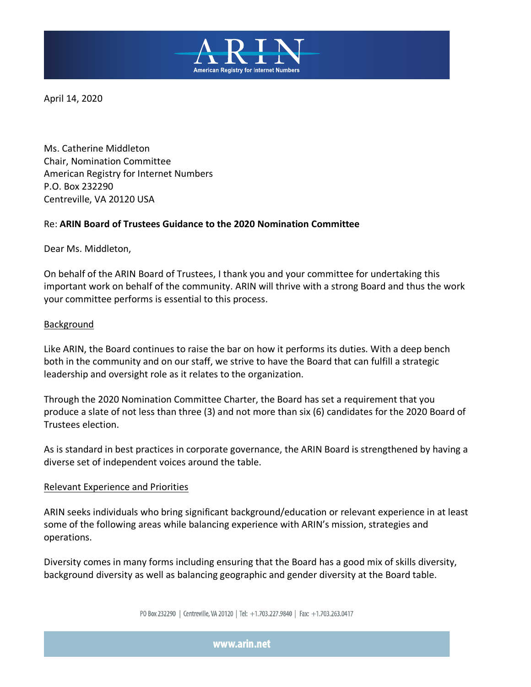

April 14, 2020

Ms. Catherine Middleton Chair, Nomination Committee American Registry for Internet Numbers P.O. Box 232290 Centreville, VA 20120 USA

#### Re: **ARIN Board of Trustees Guidance to the 2020 Nomination Committee**

Dear Ms. Middleton,

On behalf of the ARIN Board of Trustees, I thank you and your committee for undertaking this important work on behalf of the community. ARIN will thrive with a strong Board and thus the work your committee performs is essential to this process.

#### Background

Like ARIN, the Board continues to raise the bar on how it performs its duties. With a deep bench both in the community and on our staff, we strive to have the Board that can fulfill a strategic leadership and oversight role as it relates to the organization.

Through the 2020 Nomination Committee Charter, the Board has set a requirement that you produce a slate of not less than three (3) and not more than six (6) candidates for the 2020 Board of Trustees election.

As is standard in best practices in corporate governance, the ARIN Board is strengthened by having a diverse set of independent voices around the table.

#### Relevant Experience and Priorities

ARIN seeks individuals who bring significant background/education or relevant experience in at least some of the following areas while balancing experience with ARIN's mission, strategies and operations.

Diversity comes in many forms including ensuring that the Board has a good mix of skills diversity, background diversity as well as balancing geographic and gender diversity at the Board table.

PO Box 232290 | Centreville, VA 20120 | Tel: +1.703.227.9840 | Fax: +1.703.263.0417

www.arin.net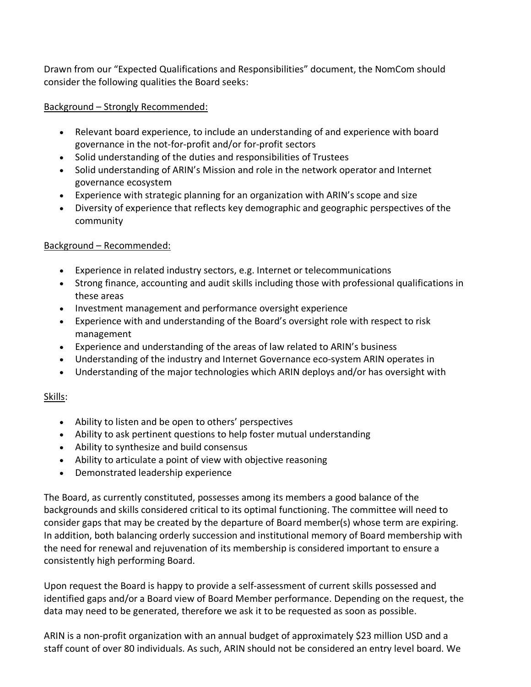Drawn from our "Expected Qualifications and Responsibilities" document, the NomCom should consider the following qualities the Board seeks:

# Background – Strongly Recommended:

- Relevant board experience, to include an understanding of and experience with board governance in the not-for-profit and/or for-profit sectors
- Solid understanding of the duties and responsibilities of Trustees
- Solid understanding of ARIN's Mission and role in the network operator and Internet governance ecosystem
- Experience with strategic planning for an organization with ARIN's scope and size
- Diversity of experience that reflects key demographic and geographic perspectives of the community

# Background – Recommended:

- Experience in related industry sectors, e.g. Internet or telecommunications
- Strong finance, accounting and audit skills including those with professional qualifications in these areas
- Investment management and performance oversight experience
- Experience with and understanding of the Board's oversight role with respect to risk management
- Experience and understanding of the areas of law related to ARIN's business
- Understanding of the industry and Internet Governance eco-system ARIN operates in
- Understanding of the major technologies which ARIN deploys and/or has oversight with

## Skills:

- Ability to listen and be open to others' perspectives
- Ability to ask pertinent questions to help foster mutual understanding
- Ability to synthesize and build consensus
- Ability to articulate a point of view with objective reasoning
- Demonstrated leadership experience

The Board, as currently constituted, possesses among its members a good balance of the backgrounds and skills considered critical to its optimal functioning. The committee will need to consider gaps that may be created by the departure of Board member(s) whose term are expiring. In addition, both balancing orderly succession and institutional memory of Board membership with the need for renewal and rejuvenation of its membership is considered important to ensure a consistently high performing Board.

Upon request the Board is happy to provide a self-assessment of current skills possessed and identified gaps and/or a Board view of Board Member performance. Depending on the request, the data may need to be generated, therefore we ask it to be requested as soon as possible.

ARIN is a non-profit organization with an annual budget of approximately \$23 million USD and a staff count of over 80 individuals. As such, ARIN should not be considered an entry level board. We